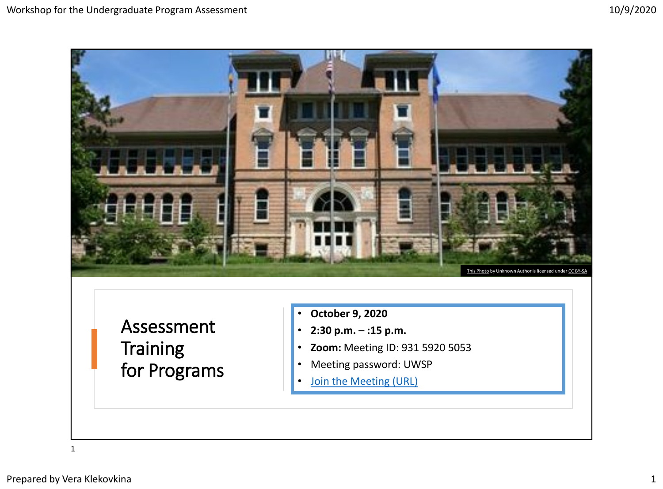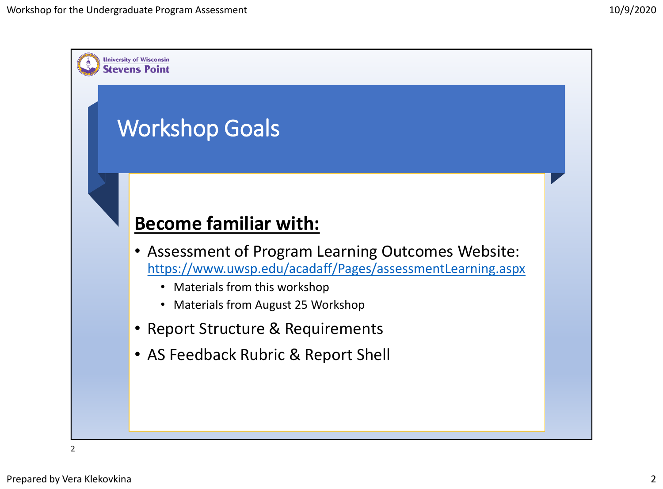

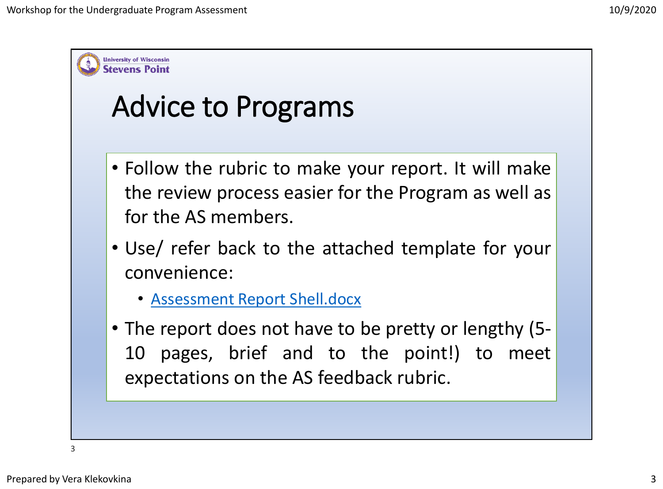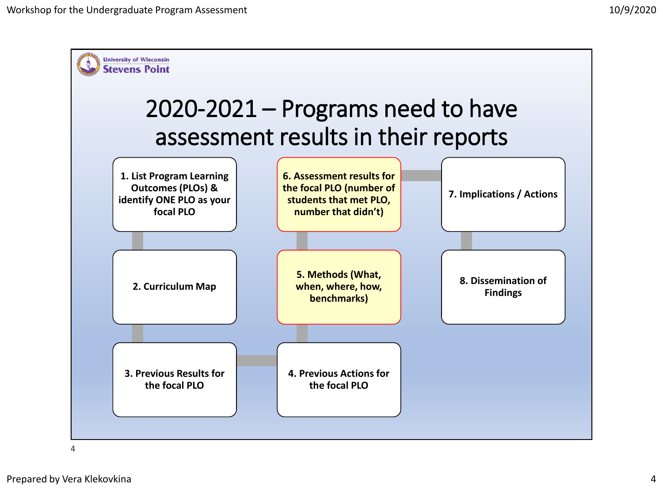

4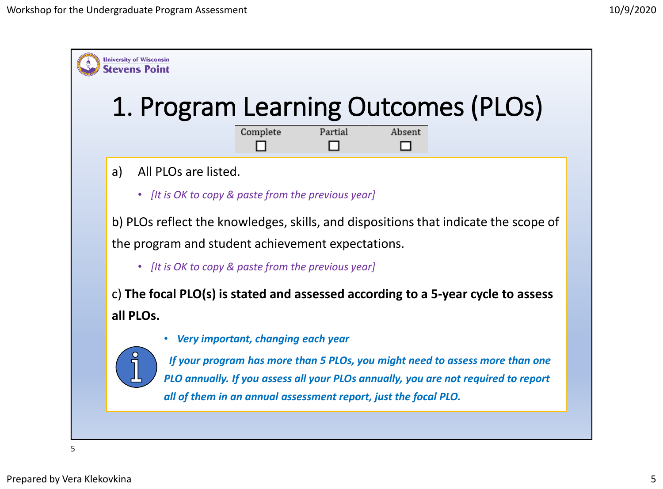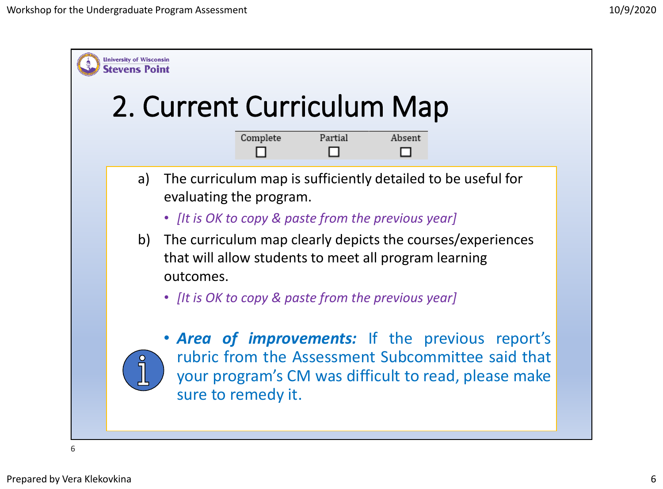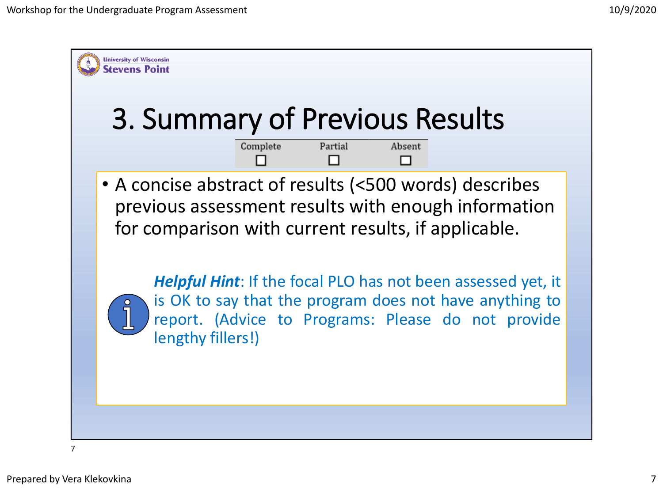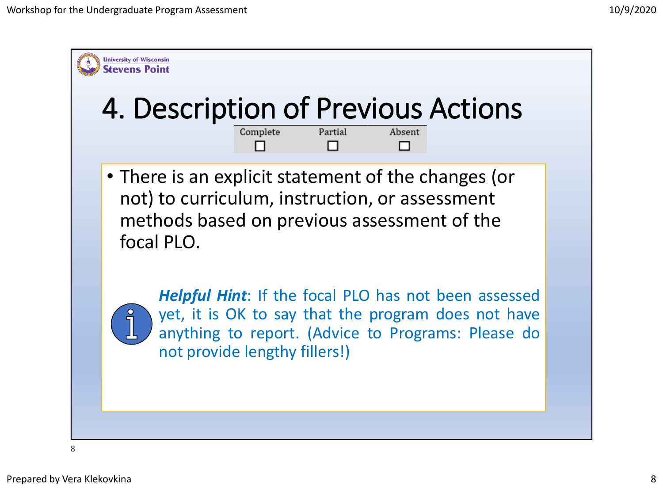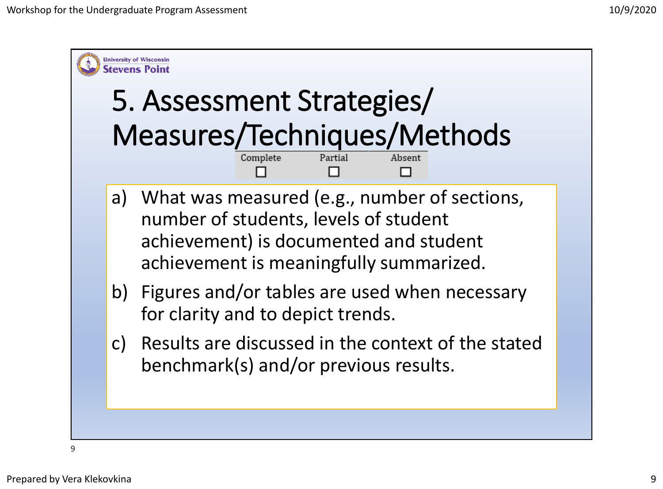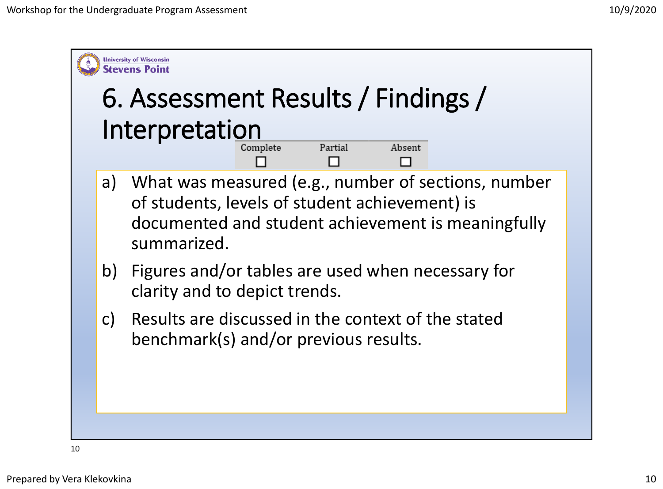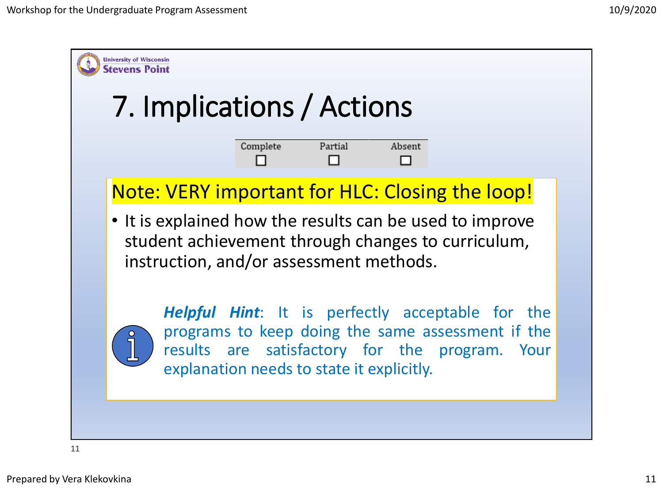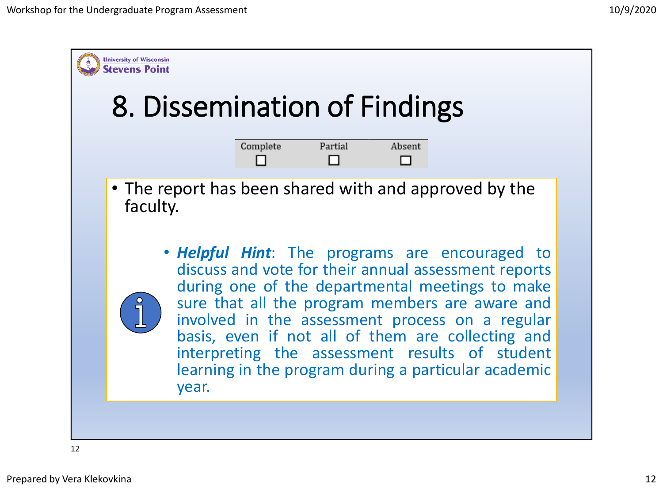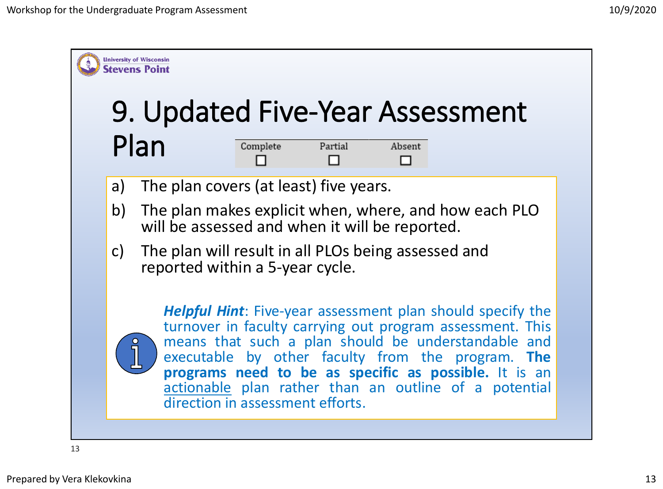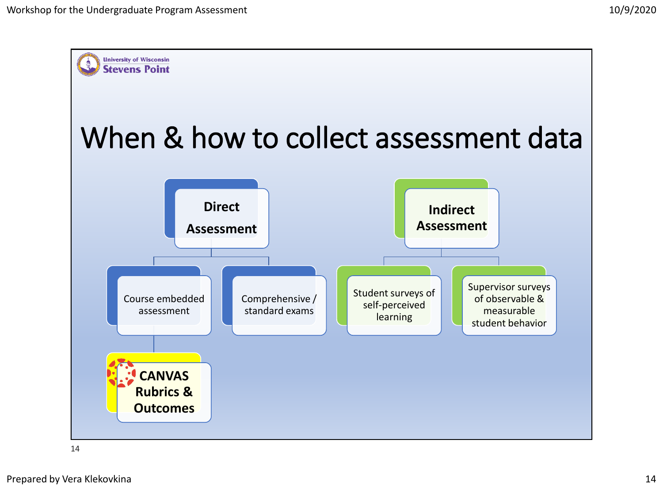

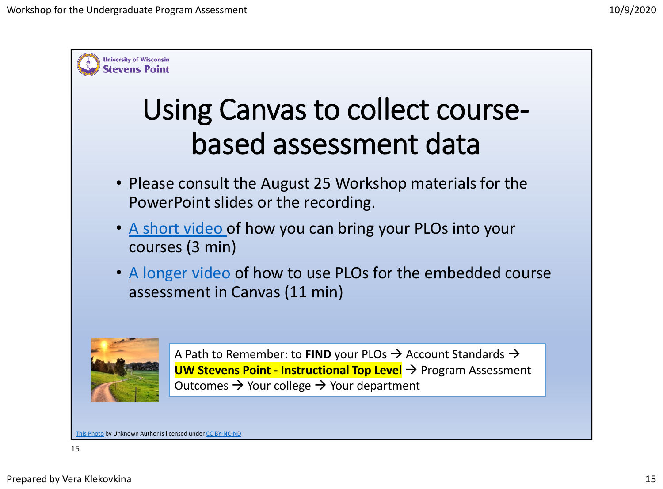